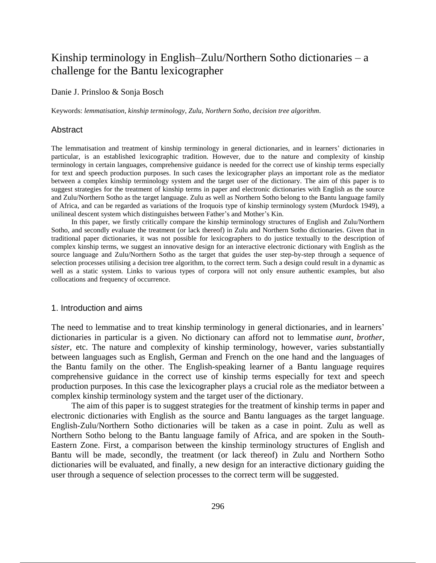# Kinship terminology in English–Zulu/Northern Sotho dictionaries  $- a$ challenge for the Bantu lexicographer

Danie J. Prinsloo & Sonja Bosch

Keywords: *lemmatisation*, *kinship terminology*, *Zulu*, *Northern Sotho*, *decision tree algorithm*.

#### Abstract

The lemmatisation and treatment of kinship terminology in general dictionaries, and in learners' dictionaries in particular, is an established lexicographic tradition. However, due to the nature and complexity of kinship terminology in certain languages, comprehensive guidance is needed for the correct use of kinship terms especially for text and speech production purposes. In such cases the lexicographer plays an important role as the mediator between a complex kinship terminology system and the target user of the dictionary. The aim of this paper is to suggest strategies for the treatment of kinship terms in paper and electronic dictionaries with English as the source and Zulu/Northern Sotho as the target language. Zulu as well as Northern Sotho belong to the Bantu language family of Africa, and can be regarded as variations of the Iroquois type of kinship terminology system (Murdock 1949), a unilineal descent system which distinguishes between Father's and Mother's Kin.

In this paper, we firstly critically compare the kinship terminology structures of English and Zulu/Northern Sotho, and secondly evaluate the treatment (or lack thereof) in Zulu and Northern Sotho dictionaries. Given that in traditional paper dictionaries, it was not possible for lexicographers to do justice textually to the description of complex kinship terms, we suggest an innovative design for an interactive electronic dictionary with English as the source language and Zulu/Northern Sotho as the target that guides the user step-by-step through a sequence of selection processes utilising a decision tree algorithm, to the correct term. Such a design could result in a dynamic as well as a static system. Links to various types of corpora will not only ensure authentic examples, but also collocations and frequency of occurrence.

#### 1. Introduction and aims

The need to lemmatise and to treat kinship terminology in general dictionaries, and in learners' dictionaries in particular is a given. No dictionary can afford not to lemmatise *aunt*, *brother*, *sister,* etc. The nature and complexity of kinship terminology, however, varies substantially between languages such as English, German and French on the one hand and the languages of the Bantu family on the other. The English-speaking learner of a Bantu language requires comprehensive guidance in the correct use of kinship terms especially for text and speech production purposes. In this case the lexicographer plays a crucial role as the mediator between a complex kinship terminology system and the target user of the dictionary.

The aim of this paper is to suggest strategies for the treatment of kinship terms in paper and electronic dictionaries with English as the source and Bantu languages as the target language. English-Zulu/Northern Sotho dictionaries will be taken as a case in point. Zulu as well as Northern Sotho belong to the Bantu language family of Africa, and are spoken in the South-Eastern Zone. First, a comparison between the kinship terminology structures of English and Bantu will be made, secondly, the treatment (or lack thereof) in Zulu and Northern Sotho dictionaries will be evaluated, and finally, a new design for an interactive dictionary guiding the user through a sequence of selection processes to the correct term will be suggested.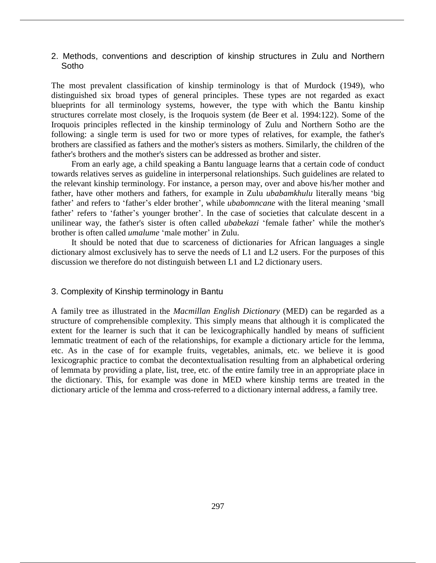2. Methods, conventions and description of kinship structures in Zulu and Northern Sotho

The most prevalent classification of kinship terminology is that of Murdock (1949), who distinguished six broad types of general principles. These types are not regarded as exact blueprints for all terminology systems, however, the type with which the Bantu kinship structures correlate most closely, is the Iroquois system (de Beer et al. 1994:122). Some of the Iroquois principles reflected in the kinship terminology of Zulu and Northern Sotho are the following: a single term is used for two or more types of relatives, for example, the father's brothers are classified as fathers and the mother's sisters as mothers. Similarly, the children of the father's brothers and the mother's sisters can be addressed as brother and sister.

From an early age, a child speaking a Bantu language learns that a certain code of conduct towards relatives serves as guideline in interpersonal relationships. Such guidelines are related to the relevant kinship terminology. For instance, a person may, over and above his/her mother and father, have other mothers and fathers, for example in Zulu *ubabamkhulu* literally means 'big father' and refers to 'father's elder brother', while *ubabomncane* with the literal meaning 'small father' refers to 'father's younger brother'. In the case of societies that calculate descent in a unilinear way, the father's sister is often called *ubabekazi* 'female father' while the mother's brother is often called *umalume* 'male mother' in Zulu.

It should be noted that due to scarceness of dictionaries for African languages a single dictionary almost exclusively has to serve the needs of L1 and L2 users. For the purposes of this discussion we therefore do not distinguish between L1 and L2 dictionary users.

# 3. Complexity of Kinship terminology in Bantu

A family tree as illustrated in the *Macmillan English Dictionary* (MED) can be regarded as a structure of comprehensible complexity. This simply means that although it is complicated the extent for the learner is such that it can be lexicographically handled by means of sufficient lemmatic treatment of each of the relationships, for example a dictionary article for the lemma, etc. As in the case of for example fruits, vegetables, animals, etc. we believe it is good lexicographic practice to combat the decontextualisation resulting from an alphabetical ordering of lemmata by providing a plate, list, tree, etc. of the entire family tree in an appropriate place in the dictionary. This, for example was done in MED where kinship terms are treated in the dictionary article of the lemma and cross-referred to a dictionary internal address, a family tree.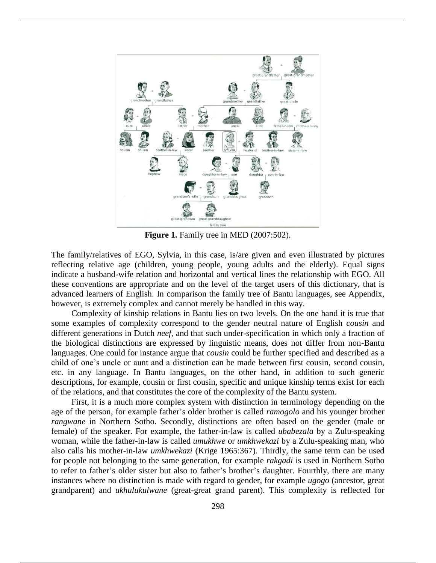

**Figure 1.** Family tree in MED (2007:502).

The family/relatives of EGO, Sylvia, in this case, is/are given and even illustrated by pictures reflecting relative age (children, young people, young adults and the elderly). Equal signs indicate a husband-wife relation and horizontal and vertical lines the relationship with EGO. All these conventions are appropriate and on the level of the target users of this dictionary, that is advanced learners of English. In comparison the family tree of Bantu languages, see Appendix, however, is extremely complex and cannot merely be handled in this way.

Complexity of kinship relations in Bantu lies on two levels. On the one hand it is true that some examples of complexity correspond to the gender neutral nature of English *cousin* and different generations in Dutch *neef,* and that such under-specification in which only a fraction of the biological distinctions are expressed by linguistic means, does not differ from non-Bantu languages. One could for instance argue that *cousin* could be further specified and described as a child of one's uncle or aunt and a distinction can be made between first cousin, second cousin, etc. in any language. In Bantu languages, on the other hand, in addition to such generic descriptions, for example, cousin or first cousin, specific and unique kinship terms exist for each of the relations, and that constitutes the core of the complexity of the Bantu system.

First, it is a much more complex system with distinction in terminology depending on the age of the person, for example father's older brother is called *ramogolo* and his younger brother *rangwane* in Northern Sotho. Secondly, distinctions are often based on the gender (male or female) of the speaker. For example, the father-in-law is called *ubabezala* by a Zulu-speaking woman, while the father-in-law is called *umukhwe* or *umkhwekazi* by a Zulu-speaking man, who also calls his mother-in-law *umkhwekazi* (Krige 1965:367). Thirdly, the same term can be used for people not belonging to the same generation, for example *rakgadi* is used in Northern Sotho to refer to father's older sister but also to father's brother's daughter. Fourthly, there are many instances where no distinction is made with regard to gender, for example *ugogo* (ancestor, great grandparent) and *ukhulukulwane* (great-great grand parent). This complexity is reflected for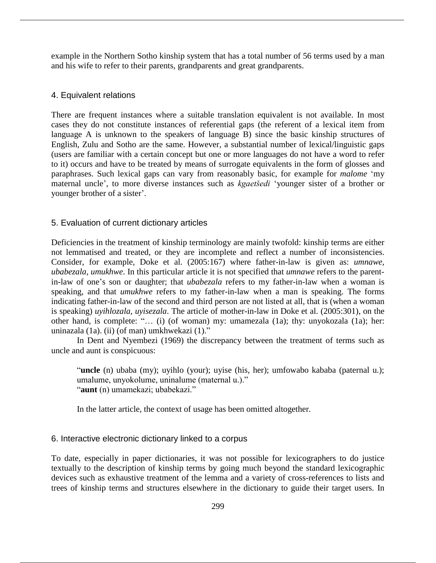example in the Northern Sotho kinship system that has a total number of 56 terms used by a man and his wife to refer to their parents, grandparents and great grandparents.

# 4. Equivalent relations

There are frequent instances where a suitable translation equivalent is not available. In most cases they do not constitute instances of referential gaps (the referent of a lexical item from language A is unknown to the speakers of language B) since the basic kinship structures of English, Zulu and Sotho are the same. However, a substantial number of lexical/linguistic gaps (users are familiar with a certain concept but one or more languages do not have a word to refer to it) occurs and have to be treated by means of surrogate equivalents in the form of glosses and paraphrases. Such lexical gaps can vary from reasonably basic, for example for *malome* 'my maternal uncle', to more diverse instances such as *kgaetšedi* 'younger sister of a brother or younger brother of a sister'.

#### 5. Evaluation of current dictionary articles

Deficiencies in the treatment of kinship terminology are mainly twofold: kinship terms are either not lemmatised and treated, or they are incomplete and reflect a number of inconsistencies. Consider, for example, Doke et al. (2005:167) where father-in-law is given as: *umnawe, ubabezala, umukhwe*. In this particular article it is not specified that *umnawe* refers to the parentin-law of one's son or daughter; that *ubabezala* refers to my father-in-law when a woman is speaking, and that *umukhwe* refers to my father-in-law when a man is speaking. The forms indicating father-in-law of the second and third person are not listed at all, that is (when a woman is speaking) *uyihlozala, uyisezala*. The article of mother-in-law in Doke et al. (2005:301), on the other hand, is complete: "… (i) (of woman) my: umamezala (1a); thy: unyokozala (1a); her: uninazala (1a). (ii) (of man) umkhwekazi (1)."

In Dent and Nyembezi (1969) the discrepancy between the treatment of terms such as uncle and aunt is conspicuous:

"**uncle** (n) ubaba (my); uyihlo (your); uyise (his, her); umfowabo kababa (paternal u.); umalume, unyokolume, uninalume (maternal u.)." "**aunt** (n) umamekazi; ubabekazi."

In the latter article, the context of usage has been omitted altogether.

# 6. Interactive electronic dictionary linked to a corpus

To date, especially in paper dictionaries, it was not possible for lexicographers to do justice textually to the description of kinship terms by going much beyond the standard lexicographic devices such as exhaustive treatment of the lemma and a variety of cross-references to lists and trees of kinship terms and structures elsewhere in the dictionary to guide their target users. In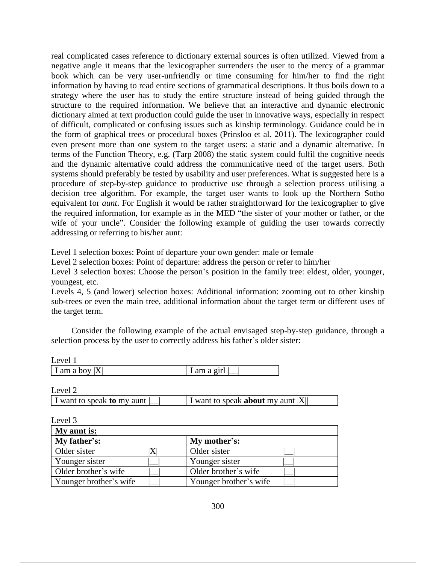real complicated cases reference to dictionary external sources is often utilized. Viewed from a negative angle it means that the lexicographer surrenders the user to the mercy of a grammar book which can be very user-unfriendly or time consuming for him/her to find the right information by having to read entire sections of grammatical descriptions. It thus boils down to a strategy where the user has to study the entire structure instead of being guided through the structure to the required information. We believe that an interactive and dynamic electronic dictionary aimed at text production could guide the user in innovative ways, especially in respect of difficult, complicated or confusing issues such as kinship terminology. Guidance could be in the form of graphical trees or procedural boxes (Prinsloo et al. 2011). The lexicographer could even present more than one system to the target users: a static and a dynamic alternative. In terms of the Function Theory, e.g. (Tarp 2008) the static system could fulfil the cognitive needs and the dynamic alternative could address the communicative need of the target users. Both systems should preferably be tested by usability and user preferences. What is suggested here is a procedure of step-by-step guidance to productive use through a selection process utilising a decision tree algorithm. For example, the target user wants to look up the Northern Sotho equivalent for *aunt*. For English it would be rather straightforward for the lexicographer to give the required information, for example as in the MED "the sister of your mother or father, or the wife of your uncle". Consider the following example of guiding the user towards correctly addressing or referring to his/her aunt:

Level 1 selection boxes: Point of departure your own gender: male or female

Level 2 selection boxes: Point of departure: address the person or refer to him/her

Level 3 selection boxes: Choose the person's position in the family tree: eldest, older, younger, youngest, etc.

Levels 4, 5 (and lower) selection boxes: Additional information: zooming out to other kinship sub-trees or even the main tree, additional information about the target term or different uses of the target term.

Consider the following example of the actual envisaged step-by-step guidance, through a selection process by the user to correctly address his father's older sister:

| Level 1          |             |
|------------------|-------------|
| I am a boy $ X $ | 1 am a girl |

I want to speak **to** my aunt |\_\_| I want to speak **about** my aunt |X||

Level 2

| Level 3                |   |                        |  |
|------------------------|---|------------------------|--|
| My aunt is:            |   |                        |  |
| My father's:           |   | My mother's:           |  |
| Older sister           | X | Older sister           |  |
| Younger sister         |   | Younger sister         |  |
| Older brother's wife   |   | Older brother's wife   |  |
| Younger brother's wife |   | Younger brother's wife |  |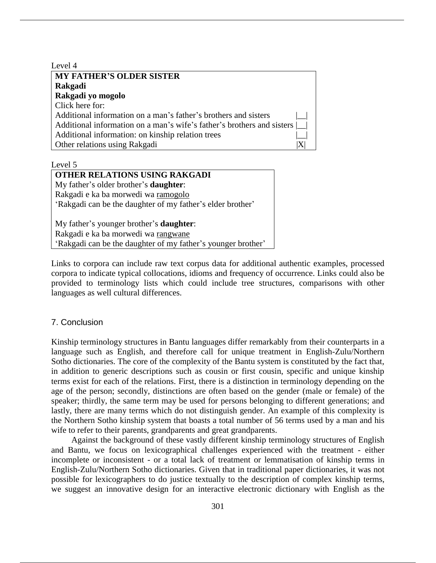| Level 4                                                                |  |
|------------------------------------------------------------------------|--|
| <b>MY FATHER'S OLDER SISTER</b>                                        |  |
| Rakgadi                                                                |  |
| Rakgadi yo mogolo                                                      |  |
| Click here for:                                                        |  |
| Additional information on a man's father's brothers and sisters        |  |
| Additional information on a man's wife's father's brothers and sisters |  |
| Additional information: on kinship relation trees                      |  |
| Other relations using Rakgadi                                          |  |

Level 5

| <b>OTHER RELATIONS USING RAKGADI</b>                       |  |  |  |  |
|------------------------------------------------------------|--|--|--|--|
| My father's older brother's <b>daughter</b> :              |  |  |  |  |
| Rakgadi e ka ba morwedi wa ramogolo                        |  |  |  |  |
| 'Rakgadi can be the daughter of my father's elder brother' |  |  |  |  |
|                                                            |  |  |  |  |
| My father's younger brother's <b>daughter</b> :            |  |  |  |  |
| Rakgadi e ka ba morwedi wa rangwane                        |  |  |  |  |

'Rakgadi can be the daughter of my father's younger brother'

Links to corpora can include raw text corpus data for additional authentic examples, processed corpora to indicate typical collocations, idioms and frequency of occurrence. Links could also be provided to terminology lists which could include tree structures, comparisons with other languages as well cultural differences.

# 7. Conclusion

Kinship terminology structures in Bantu languages differ remarkably from their counterparts in a language such as English, and therefore call for unique treatment in English-Zulu/Northern Sotho dictionaries. The core of the complexity of the Bantu system is constituted by the fact that, in addition to generic descriptions such as cousin or first cousin, specific and unique kinship terms exist for each of the relations. First, there is a distinction in terminology depending on the age of the person; secondly, distinctions are often based on the gender (male or female) of the speaker; thirdly, the same term may be used for persons belonging to different generations; and lastly, there are many terms which do not distinguish gender. An example of this complexity is the Northern Sotho kinship system that boasts a total number of 56 terms used by a man and his wife to refer to their parents, grandparents and great grandparents.

Against the background of these vastly different kinship terminology structures of English and Bantu, we focus on lexicographical challenges experienced with the treatment - either incomplete or inconsistent - or a total lack of treatment or lemmatisation of kinship terms in English-Zulu/Northern Sotho dictionaries. Given that in traditional paper dictionaries, it was not possible for lexicographers to do justice textually to the description of complex kinship terms, we suggest an innovative design for an interactive electronic dictionary with English as the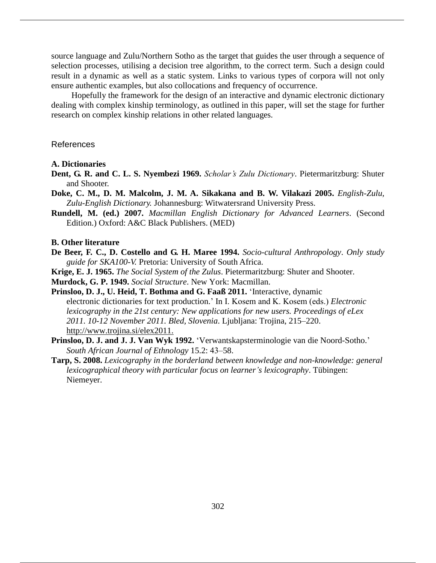source language and Zulu/Northern Sotho as the target that guides the user through a sequence of selection processes, utilising a decision tree algorithm, to the correct term. Such a design could result in a dynamic as well as a static system. Links to various types of corpora will not only ensure authentic examples, but also collocations and frequency of occurrence.

Hopefully the framework for the design of an interactive and dynamic electronic dictionary dealing with complex kinship terminology, as outlined in this paper, will set the stage for further research on complex kinship relations in other related languages.

# References

### **A. Dictionaries**

- **Dent, G. R. and C. L. S. Nyembezi 1969.** *Scholar's Zulu Dictionary*. Pietermaritzburg: Shuter and Shooter.
- **Doke, C. M., D. M. Malcolm, J. M. A. Sikakana and B. W. Vilakazi 2005.** *English-Zulu, Zulu-English Dictionary.* Johannesburg: Witwatersrand University Press.
- **Rundell, M. (ed.) 2007.** *Macmillan English Dictionary for Advanced Learners*. (Second Edition.) Oxford: A&C Black Publishers. (MED)

#### **B. Other literature**

- **De Beer, F. C., D. Costello and G. H. Maree 1994.** *Socio-cultural Anthropology*. *Only study guide for SKA100-V.* Pretoria: University of South Africa.
- **Krige, E. J. 1965.** *The Social System of the Zulus*. Pietermaritzburg: Shuter and Shooter.

**Murdock, G. P. 1949.** *Social Structure*. New York: Macmillan.

- **Prinsloo, D. J., U. Heid, T. Bothma and G. Faaß 2011.** 'Interactive, dynamic electronic dictionaries for text production.' In I. Kosem and K. Kosem (eds.) *Electronic lexicography in the 21st century: New applications for new users. Proceedings of eLex 2011. 10-12 November 2011. Bled, Slovenia*. Ljubljana: Trojina, 215–220. http://www.trojina.si/elex2011.
- **Prinsloo, D. J. and J. J. Van Wyk 1992.** 'Verwantskapsterminologie van die Noord-Sotho.' *South African Journal of Ethnology* 15.2: 43‒58.
- **Tarp, S. 2008.** *Lexicography in the borderland between knowledge and non-knowledge: general lexicographical theory with particular focus on learner's lexicography*. Tübingen: Niemeyer.